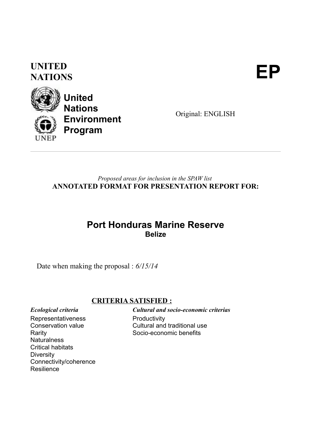### **UNITED** UNITED<br>NATIONS



**United Nations Environment Program**

Original: ENGLISH

#### *Proposed areas for inclusion in the SPAW list* **ANNOTATED FORMAT FOR PRESENTATION REPORT FOR:**

### **Port Honduras Marine Reserve Belize**

Date when making the proposal : *6/15/14*

#### **CRITERIA SATISFIED :**

Representativeness

Conservation value Rarity **Naturalness** Critical habitats **Diversity** Connectivity/coherence **Resilience** 

*Ecological criteria Cultural and socio-economic criterias* **Productivity** Cultural and traditional use Socio-economic benefits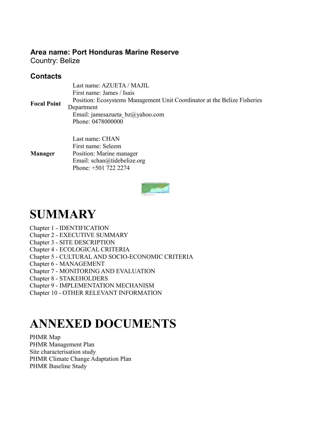#### **Area name: Port Honduras Marine Reserve**

Phone: +501 722 2274

Country: Belize

#### **Contacts**

| <b>Focal Point</b> | Last name: AZUETA / MAJIL<br>First name: James / Isais<br>Position: Ecosystems Management Unit Coordinator at the Belize Fisheries<br>Department<br>Email: jamesazueta $bz@yahoo.com$<br>Phone: 0478000000 |  |  |
|--------------------|------------------------------------------------------------------------------------------------------------------------------------------------------------------------------------------------------------|--|--|
| <b>Manager</b>     | Last name: CHAN<br>First name: Seleem<br>Position: Marine manager<br>Email: schan@tidebelize.org                                                                                                           |  |  |

## **SUMMARY**

Chapter 1 - IDENTIFICATION Chapter 2 - EXECUTIVE SUMMARY Chapter 3 - SITE DESCRIPTION Chapter 4 - ECOLOGICAL CRITERIA Chapter 5 - CULTURAL AND SOCIO-ECONOMIC CRITERIA Chapter 6 - MANAGEMENT Chapter 7 - MONITORING AND EVALUATION Chapter 8 - STAKEHOLDERS Chapter 9 - IMPLEMENTATION MECHANISM Chapter 10 - OTHER RELEVANT INFORMATION

# **ANNEXED DOCUMENTS**

PHMR Map PHMR Management Plan Site characterisation study PHMR Climate Change Adaptation Plan PHMR Baseline Study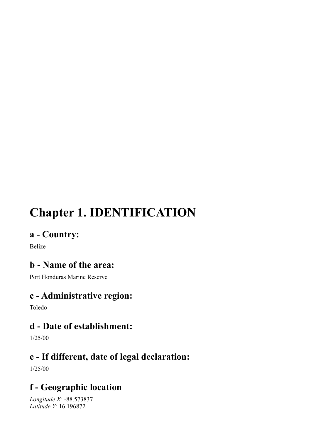# **Chapter 1. IDENTIFICATION**

### **a - Country:**

Belize

### **b - Name of the area:**

Port Honduras Marine Reserve

### **c - Administrative region:**

Toledo

### **d - Date of establishment:**

1/25/00

### **e - If different, date of legal declaration:**

1/25/00

### **f - Geographic location**

*Longitude X:* -88.573837 *Latitude Y:* 16.196872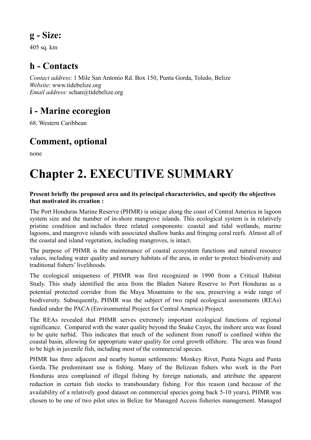### **g - Size:**

405 sq. km

### **h - Contacts**

*Contact address*: 1 Mile San Antonio Rd. Box 150, Punta Gorda, Toledo, Belize *Website*: www.tidebelize.org *Email address*: schan@tidebelize.org

### **i - Marine ecoregion**

68. Western Caribbean

### **Comment, optional**

none

# **Chapter 2. EXECUTIVE SUMMARY**

#### **Present briefly the proposed area and its principal characteristics, and specify the objectives that motivated its creation :**

The Port Honduras Marine Reserve (PHMR) is unique along the coast of Central America in lagoon system size and the number of in-shore mangrove islands. This ecological system is in relatively pristine condition and includes three related components: coastal and tidal wetlands, marine lagoons, and mangrove islands with associated shallow banks and fringing coral reefs. Almost all of the coastal and island vegetation, including mangroves, is intact.

The purpose of PHMR is the maintenance of coastal ecosystem functions and natural resource values, including water quality and nursery habitats of the area, in order to protect biodiversity and traditional fishers' livelihoods.

The ecological uniqueness of PHMR was first recognized in 1990 from a Critical Habitat Study. This study identified the area from the Bladen Nature Reserve to Port Honduras as a potential protected corridor from the Maya Mountains to the sea, preserving a wide range of biodiversity. Subsequently, PHMR was the subject of two rapid ecological assessments (REAs) funded under the PACA (Environmental Project for Central America) Project.

The REAs revealed that PHMR serves extremely important ecological functions of regional significance. Compared with the water quality beyond the Snake Cayes, the inshore area was found to be quite turbid. This indicates that much of the sediment from runoff is confined within the coastal basin, allowing for appropriate water quality for coral growth offshore. The area was found to be high in juvenile fish, including most of the commercial species.

PHMR has three adjacent and nearby human settlements: Monkey River, Punta Negra and Punta Gorda. The predominant use is fishing. Many of the Belizean fishers who work in the Port Honduras area complained of illegal fishing by foreign nationals, and attribute the apparent reduction in certain fish stocks to transboundary fishing. For this reason (and because of the availability of a relatively good dataset on commercial species going back 5-10 years), PHMR was chosen to be one of two pilot sites in Belize for Managed Access fisheries management. Managed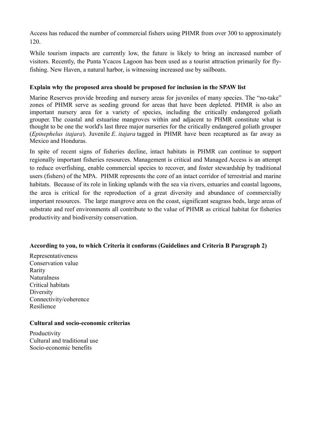Access has reduced the number of commercial fishers using PHMR from over 300 to approximately 120.

While tourism impacts are currently low, the future is likely to bring an increased number of visitors. Recently, the Punta Ycacos Lagoon has been used as a tourist attraction primarily for flyfishing. New Haven, a natural harbor, is witnessing increased use by sailboats.

#### **Explain why the proposed area should be proposed for inclusion in the SPAW list**

Marine Reserves provide breeding and nursery areas for juveniles of many species. The "no-take" zones of PHMR serve as seeding ground for areas that have been depleted. PHMR is also an important nursery area for a variety of species, including the critically endangered goliath grouper. The coastal and estuarine mangroves within and adjacent to PHMR constitute what is thought to be one the world's last three major nurseries for the critically endangered goliath grouper (*Epinephelus itajara*). Juvenile *E*. *itajara* tagged in PHMR have been recaptured as far away as Mexico and Honduras.

In spite of recent signs of fisheries decline, intact habitats in PHMR can continue to support regionally important fisheries resources. Management is critical and Managed Access is an attempt to reduce overfishing, enable commercial species to recover, and foster stewardship by traditional users (fishers) of the MPA. PHMR represents the core of an intact corridor of terrestrial and marine habitats. Because of its role in linking uplands with the sea via rivers, estuaries and coastal lagoons, the area is critical for the reproduction of a great diversity and abundance of commercially important resources. The large mangrove area on the coast, significant seagrass beds, large areas of substrate and reef environments all contribute to the value of PHMR as critical habitat for fisheries productivity and biodiversity conservation.

#### **According to you, to which Criteria it conforms (Guidelines and Criteria B Paragraph 2)**

Representativeness Conservation value Rarity **Naturalness** Critical habitats Diversity Connectivity/coherence Resilience

#### **Cultural and socio-economic criterias**

**Productivity** Cultural and traditional use Socio-economic benefits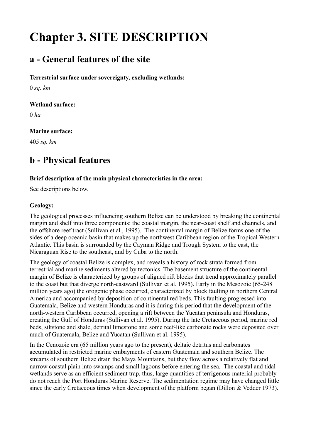# **Chapter 3. SITE DESCRIPTION**

### **a - General features of the site**

#### **Terrestrial surface under sovereignty, excluding wetlands:**

0 *sq. km*

#### **Wetland surface:**

0 *ha*

#### **Marine surface:**

405 *sq. km*

### **b - Physical features**

#### **Brief description of the main physical characteristics in the area:**

See descriptions below.

#### **Geology:**

The geological processes influencing southern Belize can be understood by breaking the continental margin and shelf into three components: the coastal margin, the near-coast shelf and channels, and the offshore reef tract (Sullivan et al., 1995). The continental margin of Belize forms one of the sides of a deep oceanic basin that makes up the northwest Caribbean region of the Tropical Western Atlantic. This basin is surrounded by the Cayman Ridge and Trough System to the east, the Nicaraguan Rise to the southeast, and by Cuba to the north.

The geology of coastal Belize is complex, and reveals a history of rock strata formed from terrestrial and marine sediments altered by tectonics. The basement structure of the continental margin of Belize is characterized by groups of aligned rift blocks that trend approximately parallel to the coast but that diverge north-eastward (Sullivan et al. 1995). Early in the Mesozoic (65-248 million years ago) the orogenic phase occurred, characterized by block faulting in northern Central America and accompanied by deposition of continental red beds. This faulting progressed into Guatemala, Belize and western Honduras and it is during this period that the development of the north-western Caribbean occurred, opening a rift between the Yucatan peninsula and Honduras, creating the Gulf of Honduras (Sullivan et al. 1995). During the late Cretaceous period, marine red beds, siltstone and shale, detrital limestone and some reef-like carbonate rocks were deposited over much of Guatemala, Belize and Yucatan (Sullivan et al. 1995).

In the Cenozoic era (65 million years ago to the present), deltaic detritus and carbonates accumulated in restricted marine embayments of eastern Guatemala and southern Belize. The streams of southern Belize drain the Maya Mountains, but they flow across a relatively flat and narrow coastal plain into swamps and small lagoons before entering the sea. The coastal and tidal wetlands serve as an efficient sediment trap, thus, large quantities of terrigenous material probably do not reach the Port Honduras Marine Reserve. The sedimentation regime may have changed little since the early Cretaceous times when development of the platform began (Dillon & Vedder 1973).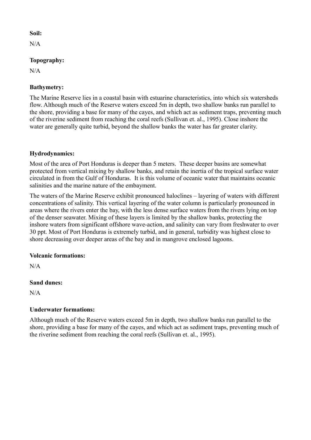#### **Soil:**

 $N/A$ 

#### **Topography:**

 $N/A$ 

#### **Bathymetry:**

The Marine Reserve lies in a coastal basin with estuarine characteristics, into which six watersheds flow. Although much of the Reserve waters exceed 5m in depth, two shallow banks run parallel to the shore, providing a base for many of the cayes, and which act as sediment traps, preventing much of the riverine sediment from reaching the coral reefs (Sullivan et. al., 1995). Close inshore the water are generally quite turbid, beyond the shallow banks the water has far greater clarity.

#### **Hydrodynamics:**

Most of the area of Port Honduras is deeper than 5 meters. These deeper basins are somewhat protected from vertical mixing by shallow banks, and retain the inertia of the tropical surface water circulated in from the Gulf of Honduras. It is this volume of oceanic water that maintains oceanic salinities and the marine nature of the embayment.

The waters of the Marine Reserve exhibit pronounced haloclines – layering of waters with different concentrations of salinity. This vertical layering of the water column is particularly pronounced in areas where the rivers enter the bay, with the less dense surface waters from the rivers lying on top of the denser seawater. Mixing of these layers is limited by the shallow banks, protecting the inshore waters from significant offshore wave-action, and salinity can vary from freshwater to over 30 ppt. Most of Port Honduras is extremely turbid, and in general, turbidity was highest close to shore decreasing over deeper areas of the bay and in mangrove enclosed lagoons.

#### **Volcanic formations:**

 $N/A$ 

#### **Sand dunes:**

N/A

#### **Underwater formations:**

Although much of the Reserve waters exceed 5m in depth, two shallow banks run parallel to the shore, providing a base for many of the cayes, and which act as sediment traps, preventing much of the riverine sediment from reaching the coral reefs (Sullivan et. al., 1995).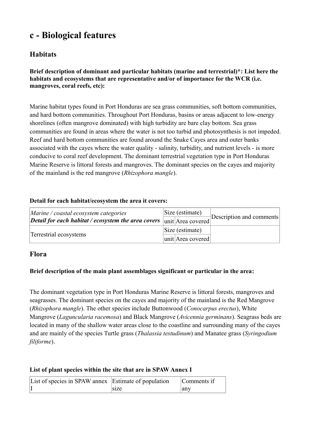### **c - Biological features**

#### **Habitats**

#### **Brief description of dominant and particular habitats (marine and terrestrial)\*: List here the habitats and ecosystems that are representative and/or of importance for the WCR (i.e. mangroves, coral reefs, etc):**

Marine habitat types found in Port Honduras are sea grass communities, soft bottom communities, and hard bottom communities. Throughout Port Honduras, basins or areas adjacent to low-energy shorelines (often mangrove dominated) with high turbidity are bare clay bottom. Sea grass communities are found in areas where the water is not too turbid and photosynthesis is not impeded. Reef and hard bottom communities are found around the Snake Cayes area and outer banks associated with the cayes where the water quality - salinity, turbidity, and nutrient levels - is more conducive to coral reef development. The dominant terrestrial vegetation type in Port Honduras Marine Reserve is littoral forests and mangroves. The dominant species on the cayes and majority of the mainland is the red mangrove (*Rhizophora mangle*).

#### **Detail for each habitat/ecosystem the area it covers:**

| $\vert$ <i>Marine</i> / coastal ecosystem categories         | Size (estimate)<br>Description and comments |
|--------------------------------------------------------------|---------------------------------------------|
| $\Delta$ Detail for each habitat / ecosystem the area covers | lunit Area covered                          |
| Terrestrial ecosystems                                       | Size (estimate)                             |
|                                                              | unit Area covered                           |

#### **Flora**

#### **Brief description of the main plant assemblages significant or particular in the area:**

The dominant vegetation type in Port Honduras Marine Reserve is littoral forests, mangroves and seagrasses. The dominant species on the cayes and majority of the mainland is the Red Mangrove (*Rhizophora mangle*). The other species include Buttonwood (*Conocarpus erectus*), White Mangrove (*Laguncularia racemosa*) and Black Mangrove (*Avicennia germinans*). Seagrass beds are located in many of the shallow water areas close to the coastline and surrounding many of the cayes and are mainly of the species Turtle grass (*Thalassia testudinum*) and Manatee grass (*Syringodium filiforme*).

#### **List of plant species within the site that are in SPAW Annex I**

| List of species in SPAW annex Estimate of population |      | Comments if |
|------------------------------------------------------|------|-------------|
|                                                      | size | any         |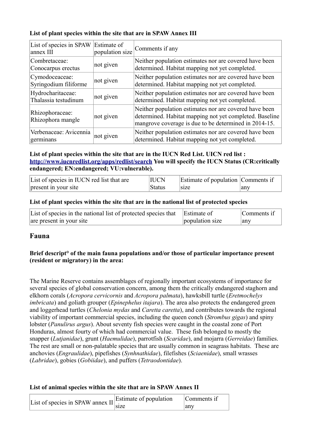#### **List of plant species within the site that are in SPAW Annex III**

| List of species in SPAW<br>annex III      | Estimate of<br>population size | Comments if any                                                                                                                                                            |
|-------------------------------------------|--------------------------------|----------------------------------------------------------------------------------------------------------------------------------------------------------------------------|
| Combretaceae:<br>Conocarpus erectus       | not given                      | Neither population estimates nor are covered have been<br>determined. Habitat mapping not yet completed.                                                                   |
| Cymodoceaceae:<br>Syringodium filiforme   | not given                      | Neither population estimates nor are covered have been<br>determined. Habitat mapping not yet completed.                                                                   |
| Hydrocharitaceae:<br>Thalassia testudinum | not given                      | Neither population estimates nor are covered have been<br>determined. Habitat mapping not yet completed.                                                                   |
| Rhizophoraceae:<br>Rhizophora mangle      | not given                      | Neither population estimates nor are covered have been<br>determined. Habitat mapping not yet completed. Baseline<br>mangrove coverage is due to be determined in 2014-15. |
| Verbenaceae: Avicennia<br>germinans       | not given                      | Neither population estimates nor are covered have been<br>determined. Habitat mapping not yet completed.                                                                   |

#### **List of plant species within the site that are in the IUCN Red List. UICN red list : <http://www.iucnredlist.org/apps/redlist/search>You will specify the IUCN Status (CR:critically endangered; EN:endangered; VU:vulnerable).**

| List of species in IUCN red list that are | <b>IUCN</b>   | Estimate of population Comments if |     |
|-------------------------------------------|---------------|------------------------------------|-----|
| present in your site                      | <b>Status</b> | size                               | anv |

#### **List of plant species within the site that are in the national list of protected species**

| List of species in the national list of protected species that Estimate of |                 | Comments if |
|----------------------------------------------------------------------------|-----------------|-------------|
| are present in your site                                                   | population size | any         |

#### **Fauna**

#### **Brief descript° of the main fauna populations and/or those of particular importance present (resident or migratory) in the area:**

The Marine Reserve contains assemblages of regionally important ecosystems of importance for several species of global conservation concern, among them the critically endangered staghorn and elkhorn corals (*Acropora cervicornis* and *Acropora palmata*), hawksbill turtle (*Eretmochelys imbricata*) and goliath grouper (*Epinephelus itajara*). The area also protects the endangered green and loggerhead turtles (*Chelonia mydas* and *Caretta caretta*), and contributes towards the regional viability of important commercial species, including the queen conch (*Strombus gigas*) and spiny lobster (*Panulirus argus*). About seventy fish species were caught in the coastal zone of Port Honduras, almost fourty of which had commercial value. These fish belonged to mostly the snapper (*Lutjanidae*), grunt (*Haemulidae*), parrotfish (*Scaridae*), and mojarra (*Gerreidae*) families. The rest are small or non-palatable species that are usually common in seagrass habitats. These are anchovies (*Engraulidae*), pipefishes (*Synhnathidae*), filefishes (*Sciaenidae*), small wrasses (*Labridae*), gobies (*Gobiidae*), and puffers (*Tetraodontidae*).

#### **List of animal species within the site that are in SPAW Annex II**

| <sup>1</sup> ist of species in SPAW annex II Estimate of population $\sim$ |      | Comments if |
|----------------------------------------------------------------------------|------|-------------|
|                                                                            | size | anv         |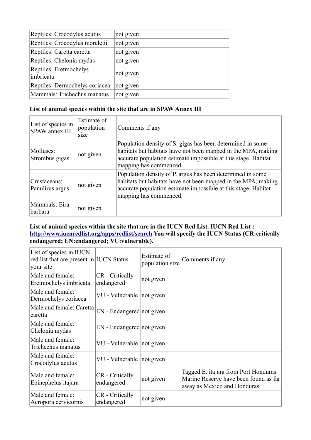| Reptiles: Crocodylus acutus         | not given |  |
|-------------------------------------|-----------|--|
| Reptiles: Crocodylus moreletii      | not given |  |
| Reptiles: Caretta caretta           | not given |  |
| Reptiles: Chelonia mydas            | not given |  |
| Reptiles: Eretmochelys<br>imbricata | not given |  |
| Reptiles: Dermochelys coriacea      | not given |  |
| Mammals: Trichechus manatus         | not given |  |
|                                     |           |  |

#### **List of animal species within the site that are in SPAW Annex III**

| List of species in<br>SPAW annex III | Estimate of<br>population<br>size | Comments if any                                                                                                                                                                                                         |
|--------------------------------------|-----------------------------------|-------------------------------------------------------------------------------------------------------------------------------------------------------------------------------------------------------------------------|
| Molluscs:<br>Strombus gigas          | not given                         | Population density of S. gigas has been determined in some<br>habitats but habitats have not been mapped in the MPA, making<br>accurate population estimate impossible at this stage. Habitat<br>mapping has commenced. |
| Crustaceans:<br>Panulirus argus      | not given                         | Population density of P. argus has been determined in some<br>habitats but habitats have not been mapped in the MPA, making<br>accurate population estimate impossible at this stage. Habitat<br>mapping has commenced. |
| Mammals: Eira<br> barbara            | not given                         |                                                                                                                                                                                                                         |

#### **List of animal species within the site that are in the IUCN Red List. IUCN Red List : <http://www.iucnredlist.org/apps/redlist/search>You will specify the IUCN Status (CR:critically endangered; EN:endangered; VU:vulnerable).**

| List of species in IUCN<br>red list that are present in IUCN Status<br>your site |                               | Estimate of<br>population size | Comments if any                                                                                               |
|----------------------------------------------------------------------------------|-------------------------------|--------------------------------|---------------------------------------------------------------------------------------------------------------|
| Male and female:<br>Eretmochelys imbricata                                       | CR - Critically<br>endangered | not given                      |                                                                                                               |
| Male and female:<br>Dermochelys coriacea                                         | VU - Vulnerable   not given   |                                |                                                                                                               |
| Male and female: Caretta<br>caretta                                              | EN - Endangered not given     |                                |                                                                                                               |
| Male and female:<br>Chelonia mydas                                               | EN - Endangered not given     |                                |                                                                                                               |
| Male and female:<br>Trichechus manatus                                           | VU - Vulnerable not given     |                                |                                                                                                               |
| Male and female:<br>Crocodylus acutus                                            | VU - Vulnerable not given     |                                |                                                                                                               |
| Male and female:<br>Epinephelus itajara                                          | CR - Critically<br>endangered | not given                      | Tagged E. itajara from Port Honduras<br>Marine Reserve have been found as far<br>away as Mexico and Honduras. |
| Male and female:<br>Acropora cervicornis                                         | CR - Critically<br>endangered | not given                      |                                                                                                               |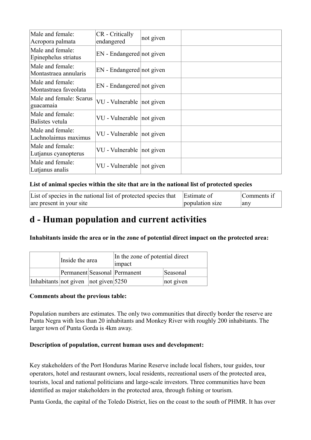| Male and female:<br>Acropora palmata      | CR - Critically<br>endangered | not given |  |
|-------------------------------------------|-------------------------------|-----------|--|
| Male and female:<br>Epinephelus striatus  | EN - Endangered not given     |           |  |
| Male and female:<br>Montastraea annularis | EN - Endangered not given     |           |  |
| Male and female:<br>Montastraea faveolata | EN - Endangered not given     |           |  |
| Male and female: Scarus<br>guacamaia      | VU - Vulnerable   not given   |           |  |
| Male and female:<br>Balistes vetula       | VU - Vulnerable not given     |           |  |
| Male and female:<br>Lachnolaimus maximus  | VU - Vulnerable not given     |           |  |
| Male and female:<br>Lutjanus cyanopterus  | VU - Vulnerable not given     |           |  |
| Male and female:<br>Lutjanus analis       | VU - Vulnerable not given     |           |  |

#### **List of animal species within the site that are in the national list of protected species**

| List of species in the national list of protected species that | Estimate of     | Comments if |
|----------------------------------------------------------------|-----------------|-------------|
| are present in your site                                       | population size | any         |

### **d - Human population and current activities**

**Inhabitants inside the area or in the zone of potential direct impact on the protected area:** 

|                                      | Inside the area              |  | In the zone of potential direct<br>impact |           |  |
|--------------------------------------|------------------------------|--|-------------------------------------------|-----------|--|
|                                      | Permanent Seasonal Permanent |  |                                           | Seasonal  |  |
| Inhabitants not given not given 5250 |                              |  |                                           | not given |  |

#### **Comments about the previous table:**

Population numbers are estimates. The only two communities that directly border the reserve are Punta Negra with less than 20 inhabitants and Monkey River with roughly 200 inhabitants. The larger town of Punta Gorda is 4km away.

#### **Description of population, current human uses and development:**

Key stakeholders of the Port Honduras Marine Reserve include local fishers, tour guides, tour operators, hotel and restaurant owners, local residents, recreational users of the protected area, tourists, local and national politicians and large-scale investors. Three communities have been identified as major stakeholders in the protected area, through fishing or tourism.

Punta Gorda, the capital of the Toledo District, lies on the coast to the south of PHMR. It has over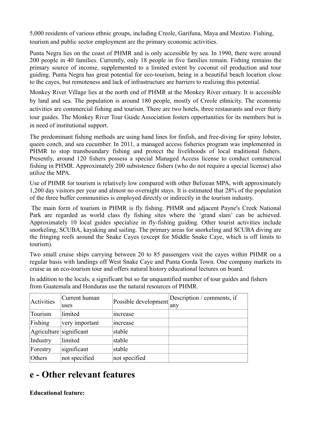5,000 residents of various ethnic groups, including Creole, Garifuna, Maya and Mestizo. Fishing, tourism and public sector employment are the primary economic activities.

Punta Negra lies on the coast of PHMR and is only accessible by sea. In 1990, there were around 200 people in 40 families. Currently, only 18 people in five families remain. Fishing remains the primary source of income, supplemented to a limited extent by coconut oil production and tour guiding. Punta Negra has great potential for eco-tourism, being in a beautiful beach location close to the cayes, but remoteness and lack of infrastructure are barriers to realizing this potential.

Monkey River Village lies at the north end of PHMR at the Monkey River estuary. It is accessible by land and sea. The population is around 180 people, mostly of Creole ethnicity. The economic activities are commercial fishing and tourism. There are two hotels, three restaurants and over thirty tour guides. The Monkey River Tour Guide Association fosters opportunities for its members but is in need of institutional support.

The predominant fishing methods are using hand lines for finfish, and free-diving for spiny lobster, queen conch, and sea cucumber. In 2011, a managed access fisheries program was implemented in PHMR to stop transboundary fishing and protect the livelihoods of local traditional fishers. Presently, around 120 fishers possess a special Managed Access license to conduct commercial fishing in PHMR. Approximately 200 subsistence fishers (who do not require a special license) also utilize the MPA.

Use of PHMR for tourism is relatively low compared with other Belizean MPA, with approximately 1,200 day visitors per year and almost no overnight stays. It is estimated that 28% of the population of the three buffer communities is employed directly or indirectly in the tourism industry.

The main form of tourism in PHMR is fly fishing. PHMR and adjacent Payne's Creek National Park are regarded as world class fly fishing sites where the 'grand slam' can be achieved. Approximately 10 local guides specialize in fly-fishing guiding. Other tourist activities include snorkeling, SCUBA, kayaking and sailing. The primary areas for snorkeling and SCUBA diving are the fringing reefs around the Snake Cayes (except for Middle Snake Caye, which is off limits to tourism).

Two small cruise ships carrying between 20 to 85 passengers visit the cayes within PHMR on a regular basis with landings off West Snake Caye and Punta Gorda Town. One company markets its cruise as an eco-tourism tour and offers natural history educational lectures on board.

In addition to the locals, a significant but so far unquantified number of tour guides and fishers from Guatemala and Honduras use the natural resources of PHMR.

| Activities              | Current human  | Possible development | Description / comments, if |
|-------------------------|----------------|----------------------|----------------------------|
|                         | uses           |                      | any                        |
| Tourism                 | limited        | increase             |                            |
| Fishing                 | very important | increase             |                            |
| Agriculture significant |                | stable               |                            |
| Industry                | limited        | stable               |                            |
| Forestry                | significant    | stable               |                            |
| Others                  | not specified  | not specified        |                            |

### **e - Other relevant features**

**Educational feature:**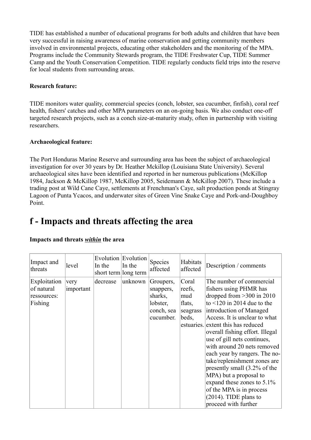TIDE has established a number of educational programs for both adults and children that have been very successful in raising awareness of marine conservation and getting community members involved in environmental projects, educating other stakeholders and the monitoring of the MPA. Programs include the Community Stewards program, the TIDE Freshwater Cup, TIDE Summer Camp and the Youth Conservation Competition. TIDE regularly conducts field trips into the reserve for local students from surrounding areas.

#### **Research feature:**

TIDE monitors water quality, commercial species (conch, lobster, sea cucumber, finfish), coral reef health, fishers' catches and other MPA parameters on an on-going basis. We also conduct one-off targeted research projects, such as a conch size-at-maturity study, often in partnership with visiting researchers.

#### **Archaeological feature:**

The Port Honduras Marine Reserve and surrounding area has been the subject of archaeological investigation for over 30 years by Dr. Heather Mckillop (Louisiana State University). Several archaeological sites have been identified and reported in her numerous publications (McKillop 1984, Jackson & McKillop 1987, McKillop 2005, Seidemann & McKillop 2007). These include a trading post at Wild Cane Caye, settlements at Frenchman's Caye, salt production ponds at Stingray Lagoon of Punta Ycacos, and underwater sites of Green Vine Snake Caye and Pork-and-Doughboy Point.

### **f - Impacts and threats affecting the area**

| Impact and<br>threats                                | level             | In the<br>short term long term | Evolution Evolution<br>In the | Species<br>affected                                                      | Habitats<br>affected                                  | Description / comments                                                                                                                                                                                                                                                                                                                                                                                                                                                                                                                                            |
|------------------------------------------------------|-------------------|--------------------------------|-------------------------------|--------------------------------------------------------------------------|-------------------------------------------------------|-------------------------------------------------------------------------------------------------------------------------------------------------------------------------------------------------------------------------------------------------------------------------------------------------------------------------------------------------------------------------------------------------------------------------------------------------------------------------------------------------------------------------------------------------------------------|
| Exploitation<br>of natural<br>ressources:<br>Fishing | very<br>important | decrease                       | unknown                       | Groupers,<br>snappers,<br>sharks,<br>lobster,<br>conch, sea<br>cucumber. | Coral<br>reefs,<br>mud<br>flats,<br>seagrass<br>beds, | The number of commercial<br>fishers using PHMR has<br>dropped from $>300$ in 2010<br>to $\leq$ 120 in 2014 due to the<br>introduction of Managed<br>Access. It is unclear to what<br>estuaries. extent this has reduced<br>overall fishing effort. Illegal<br>use of gill nets continues,<br>with around 20 nets removed<br>each year by rangers. The no-<br>take/replenishment zones are<br>presently small (3.2% of the<br>MPA) but a proposal to<br>expand these zones to 5.1%<br>of the MPA is in process<br>$(2014)$ . TIDE plans to<br>proceed with further |

#### **Impacts and threats** *within* **the area**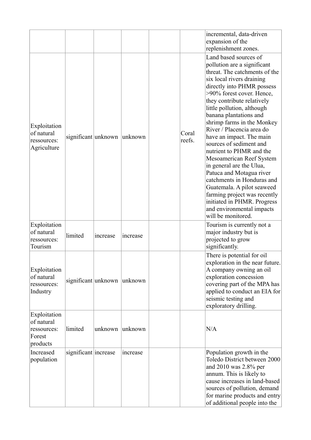|                                                                 |                             |          |          |                 | incremental, data-driven<br>expansion of the<br>replenishment zones.                                                                                                                                                                                                                                                                                                                                                                                                                                                                                                                                                                                                                |
|-----------------------------------------------------------------|-----------------------------|----------|----------|-----------------|-------------------------------------------------------------------------------------------------------------------------------------------------------------------------------------------------------------------------------------------------------------------------------------------------------------------------------------------------------------------------------------------------------------------------------------------------------------------------------------------------------------------------------------------------------------------------------------------------------------------------------------------------------------------------------------|
| Exploitation<br>of natural<br>ressources:<br>Agriculture        | significant unknown         |          | unknown  | Coral<br>reefs. | Land based sources of<br>pollution are a significant<br>threat. The catchments of the<br>six local rivers draining<br>directly into PHMR possess<br>>90% forest cover. Hence,<br>they contribute relatively<br>little pollution, although<br>banana plantations and<br>shrimp farms in the Monkey<br>River / Placencia area do<br>have an impact. The main<br>sources of sediment and<br>nutrient to PHMR and the<br>Mesoamerican Reef System<br>in general are the Ulua,<br>Patuca and Motagua river<br>catchments in Honduras and<br>Guatemala. A pilot seaweed<br>farming project was recently<br>initiated in PHMR. Progress<br>and environmental impacts<br>will be monitored. |
| Exploitation<br>of natural<br>ressources:<br>Tourism            | limited                     | increase | increase |                 | Tourism is currently not a<br>major industry but is<br>projected to grow<br>significantly.                                                                                                                                                                                                                                                                                                                                                                                                                                                                                                                                                                                          |
| Exploitation<br>of natural<br>ressources:<br>Industry           | significant unknown unknown |          |          |                 | There is potential for oil<br>exploration in the near future.<br>A company owning an oil<br>exploration concession<br>covering part of the MPA has<br>applied to conduct an EIA for<br>seismic testing and<br>exploratory drilling.                                                                                                                                                                                                                                                                                                                                                                                                                                                 |
| Exploitation<br>of natural<br>ressources:<br>Forest<br>products | limited                     | unknown  | unknown  |                 | N/A                                                                                                                                                                                                                                                                                                                                                                                                                                                                                                                                                                                                                                                                                 |
| Increased<br>population                                         | significant increase        |          | increase |                 | Population growth in the<br>Toledo District between 2000<br>and 2010 was 2.8% per<br>annum. This is likely to<br>cause increases in land-based<br>sources of pollution, demand<br>for marine products and entry<br>of additional people into the                                                                                                                                                                                                                                                                                                                                                                                                                                    |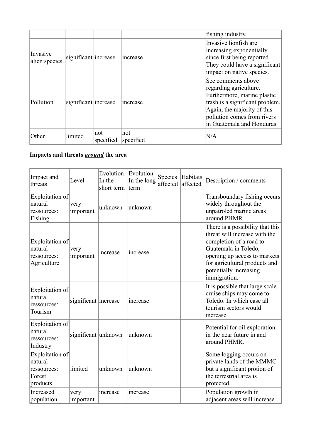|                           |                      |                  |                  | fishing industry.                                                                                                                                                                                          |
|---------------------------|----------------------|------------------|------------------|------------------------------------------------------------------------------------------------------------------------------------------------------------------------------------------------------------|
| Invasive<br>alien species | significant increase |                  | increase         | Invasive lionfish are<br>increasing exponentially<br>since first being reported.<br>They could have a significant<br>impact on native species.                                                             |
| Pollution                 | significant increase |                  | increase         | See comments above<br>regarding agriculture.<br>Furthermore, marine plastic<br>trash is a significant problem.<br>Again, the majority of this<br>pollution comes from rivers<br>in Guatemala and Honduras. |
| Other                     | limited              | not<br>specified | not<br>specified | N/A                                                                                                                                                                                                        |

#### **Impacts and threats** *around* **the area**

| Impact and<br>threats                                           | Level                | Evolution<br>In the<br>short term | Evolution<br>In the long<br>term | Species<br>affected | Habitats<br>affected | Description / comments                                                                                                                                                                                                          |
|-----------------------------------------------------------------|----------------------|-----------------------------------|----------------------------------|---------------------|----------------------|---------------------------------------------------------------------------------------------------------------------------------------------------------------------------------------------------------------------------------|
| Exploitation of<br>natural<br>ressources:<br>Fishing            | very<br>important    | unknown                           | unknown                          |                     |                      | Transboundary fishing occurs<br>widely throughout the<br>unpatroled marine areas<br>around PHMR.                                                                                                                                |
| Exploitation of<br>natural<br>ressources:<br>Agriculture        | very<br>important    | increase                          | increase                         |                     |                      | There is a possibility that this<br>threat will increase with the<br>completion of a road to<br>Guatemala in Toledo,<br>opening up access to markets<br>for agricultural products and<br>potentially increasing<br>immigration. |
| Exploitation of<br>natural<br>ressources:<br>Tourism            | significant increase |                                   | increase                         |                     |                      | It is possible that large scale<br>cruise ships may come to<br>Toledo. In which case all<br>tourism sectors would<br>increase.                                                                                                  |
| Exploitation of<br>natural<br>ressources:<br>Industry           | significant unknown  |                                   | unknown                          |                     |                      | Potential for oil exploration<br>in the near future in and<br>around PHMR.                                                                                                                                                      |
| Exploitation of<br>natural<br>ressources:<br>Forest<br>products | limited              | unknown                           | unknown                          |                     |                      | Some logging occurs on<br>private lands of the MMMC<br>but a significant protion of<br>the terrestrial area is<br>protected.                                                                                                    |
| Increased<br>population                                         | very<br>important    | increase                          | increase                         |                     |                      | Population growth in<br>adjacent areas will increase                                                                                                                                                                            |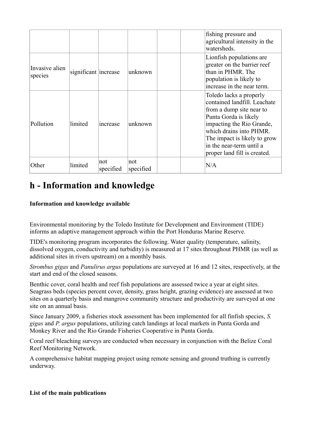|                           |                      |                  |                  |     | fishing pressure and<br>agricultural intensity in the<br>watersheds.                                                                                                                                                                                             |
|---------------------------|----------------------|------------------|------------------|-----|------------------------------------------------------------------------------------------------------------------------------------------------------------------------------------------------------------------------------------------------------------------|
| Invasive alien<br>species | significant increase |                  | unknown          |     | Lionfish populations are<br>greater on the barrier reef<br>than in PHMR. The<br>population is likely to<br>increase in the near term.                                                                                                                            |
| Pollution                 | limited              | <i>ncrease</i>   | unknown          |     | Toledo lacks a properly<br>contained landfill. Leachate<br>from a dump site near to<br>Punta Gorda is likely<br>impacting the Rio Grande,<br>which drains into PHMR.<br>The impact is likely to grow<br>in the near-term until a<br>proper land fill is created. |
| Other                     | limited              | not<br>specified | not<br>specified | N/A |                                                                                                                                                                                                                                                                  |

### **h - Information and knowledge**

#### **Information and knowledge available**

Environmental monitoring by the Toledo Institute for Development and Environment (TIDE) informs an adaptive management approach within the Port Honduras Marine Reserve.

TIDE's monitoring program incorporates the following. Water quality (temperature, salinity, dissolved oxygen, conductivity and turbidity) is measured at 17 sites throughout PHMR (as well as additional sites in rivers upstream) on a monthly basis.

*Strombus gigas* and *Panulirus argus* populations are surveyed at 16 and 12 sites, respectively, at the start and end of the closed seasons.

Benthic cover, coral health and reef fish populations are assessed twice a year at eight sites. Seagrass beds (species percent cover, density, grass height, grazing evidence) are assessed at two sites on a quarterly basis and mangrove community structure and productivity are surveyed at one site on an annual basis.

Since January 2009, a fisheries stock assessment has been implemented for all finfish species, *S. gigas* and *P. argus* populations, utilizing catch landings at local markets in Punta Gorda and Monkey River and the Rio Grande Fisheries Cooperative in Punta Gorda.

Coral reef bleaching surveys are conducted when necessary in conjunction with the Belize Coral Reef Monitoring Network.

A comprehensive habitat mapping project using remote sensing and ground truthing is currently underway.

#### **List of the main publications**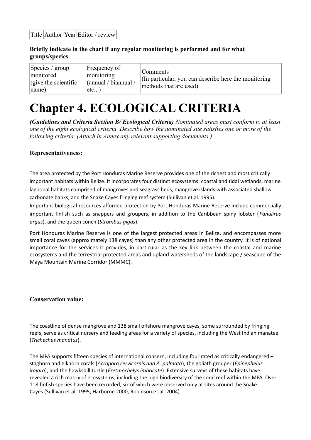#### **Briefly indicate in the chart if any regular monitoring is performed and for what groups/species**

| $\left  \text{Species} / \text{group} \right $<br>monitored<br>$\int$ (give the scientific<br> name) | Frequency of<br>monitoring<br>(annual / biannual /<br>etc | Comments<br>(In particular, you can describe here the monitoring)<br>methods that are used) |
|------------------------------------------------------------------------------------------------------|-----------------------------------------------------------|---------------------------------------------------------------------------------------------|
|------------------------------------------------------------------------------------------------------|-----------------------------------------------------------|---------------------------------------------------------------------------------------------|

# **Chapter 4. ECOLOGICAL CRITERIA**

*(Guidelines and Criteria Section B/ Ecological Criteria) Nominated areas must conform to at least one of the eight ecological criteria. Describe how the nominated site satisfies one or more of the following criteria. (Attach in Annex any relevant supporting documents.)*

#### **Representativeness:**

The area protected by the Port Honduras Marine Reserve provides one of the richest and most critically important habitats within Belize. It incorporates four distinct ecosystems: coastal and tidal wetlands, marine lagoonal habitats comprised of mangroves and seagrass beds, mangrove islands with associated shallow carbonate banks, and the Snake Cayes fringing reef system (Sullivan et al. 1995).

Important biological resources afforded protection by Port Honduras Marine Reserve include commercially important finfish such as snappers and groupers, in addition to the Caribbean spiny lobster (*Panulirus argus*), and the queen conch (*Strombus gigas*).

Port Honduras Marine Reserve is one of the largest protected areas in Belize, and encompasses more small coral cayes (approximately 138 cayes) than any other protected area in the country. It is of national importance for the services it provides, in particular as the key link between the coastal and marine ecosystems and the terrestrial protected areas and upland watersheds of the landscape / seascape of the Maya Mountain Marine Corridor (MMMC).

#### **Conservation value:**

The coastline of dense mangrove and 138 small offshore mangrove cayes, some surrounded by fringing reefs, serve as critical nursery and feeding areas for a variety of species, including the West Indian manatee (*Trichechus manatus*).

The MPA supports fifteen species of international concern, including four rated as critically endangered – staghorn and elkhorn corals (*Acropora cervicornis and A. palmata*), the goliath grouper (*Epinephelus itajara*), and the hawksbill turtle (*Eretmochelys imbricate*). Extensive surveys of these habitats have revealed a rich matrix of ecosystems, including the high biodiversity of the coral reef within the MPA. Over 118 finfish species have been recorded, six of which were observed only at sites around the Snake Cayes (Sullivan et al. 1995, Harborne 2000, Robinson et al. 2004).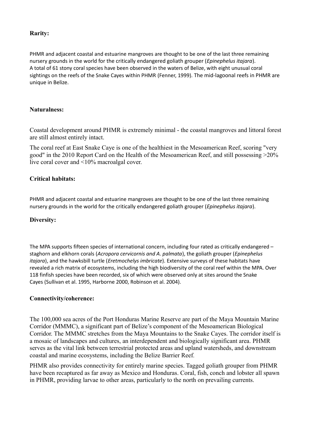#### **Rarity:**

PHMR and adjacent coastal and estuarine mangroves are thought to be one of the last three remaining nursery grounds in the world for the critically endangered goliath grouper (*Epinephelus itajara*). A total of 61 stony coral species have been observed in the waters of Belize, with eight unusual coral sightings on the reefs of the Snake Cayes within PHMR (Fenner, 1999). The mid-lagoonal reefs in PHMR are unique in Belize.

#### **Naturalness:**

Coastal development around PHMR is extremely minimal - the coastal mangroves and littoral forest are still almost entirely intact.

The coral reef at East Snake Caye is one of the healthiest in the Mesoamerican Reef, scoring "very good" in the 2010 Report Card on the Health of the Mesoamerican Reef, and still possessing >20% live coral cover and <10% macroalgal cover.

#### **Critical habitats:**

PHMR and adjacent coastal and estuarine mangroves are thought to be one of the last three remaining nursery grounds in the world for the critically endangered goliath grouper (*Epinephelus itajara*).

#### **Diversity:**

The MPA supports fifteen species of international concern, including four rated as critically endangered – staghorn and elkhorn corals (*Acropora cervicornis and A. palmata*), the goliath grouper (*Epinephelus itajara*), and the hawksbill turtle (*Eretmochelys imbricate*). Extensive surveys of these habitats have revealed a rich matrix of ecosystems, including the high biodiversity of the coral reef within the MPA. Over 118 finfish species have been recorded, six of which were observed only at sites around the Snake Cayes (Sullivan et al. 1995, Harborne 2000, Robinson et al. 2004).

#### **Connectivity/coherence:**

The 100,000 sea acres of the Port Honduras Marine Reserve are part of the Maya Mountain Marine Corridor (MMMC), a significant part of Belize's component of the Mesoamerican Biological Corridor. The MMMC stretches from the Maya Mountains to the Snake Cayes. The corridor itself is a mosaic of landscapes and cultures, an interdependent and biologically significant area. PHMR serves as the vital link between terrestrial protected areas and upland watersheds, and downstream coastal and marine ecosystems, including the Belize Barrier Reef*.*

PHMR also provides connectivity for entirely marine species. Tagged goliath grouper from PHMR have been recaptured as far away as Mexico and Honduras. Coral, fish, conch and lobster all spawn in PHMR, providing larvae to other areas, particularly to the north on prevailing currents.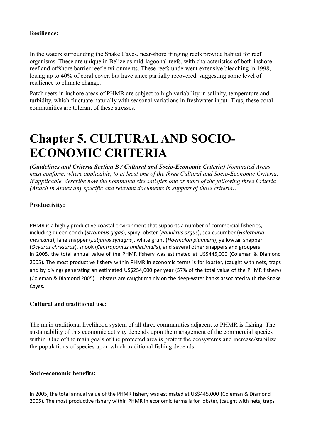#### **Resilience:**

In the waters surrounding the Snake Cayes, near-shore fringing reefs provide habitat for reef organisms. These are unique in Belize as mid-lagoonal reefs, with characteristics of both inshore reef and offshore barrier reef environments. These reefs underwent extensive bleaching in 1998, losing up to 40% of coral cover, but have since partially recovered, suggesting some level of resilience to climate change.

Patch reefs in inshore areas of PHMR are subject to high variability in salinity, temperature and turbidity, which fluctuate naturally with seasonal variations in freshwater input. Thus, these coral communities are tolerant of these stresses.

# **Chapter 5. CULTURAL AND SOCIO-ECONOMIC CRITERIA**

*(Guidelines and Criteria Section B / Cultural and Socio-Economic Criteria) Nominated Areas must conform, where applicable, to at least one of the three Cultural and Socio-Economic Criteria. If applicable, describe how the nominated site satisfies one or more of the following three Criteria (Attach in Annex any specific and relevant documents in support of these criteria).*

#### **Productivity:**

PHMR is a highly productive coastal environment that supports a number of commercial fisheries, including queen conch (*Strombus gigas*), spiny lobster (*Panulirus argus*), sea cucumber (*Holothuria mexicana*), lane snapper (*Lutjanus synagris*), white grunt (*Haemulon plumierii*), yellowtail snapper (*Ocyurus chrysurus*), snook (*Centropomus undecimalis*), and several other snappers and groupers. In 2005, the total annual value of the PHMR fishery was estimated at US\$445,000 (Coleman & Diamond 2005). The most productive fishery within PHMR in economic terms is for lobster, (caught with nets, traps and by diving) generating an estimated US\$254,000 per year (57% of the total value of the PHMR fishery) (Coleman & Diamond 2005). Lobsters are caught mainly on the deep-water banks associated with the Snake Cayes.

#### **Cultural and traditional use:**

The main traditional livelihood system of all three communities adjacent to PHMR is fishing. The sustainability of this economic activity depends upon the management of the commercial species within. One of the main goals of the protected area is protect the ecosystems and increase/stabilize the populations of species upon which traditional fishing depends.

#### **Socio-economic benefits:**

In 2005, the total annual value of the PHMR fishery was estimated at US\$445,000 (Coleman & Diamond 2005). The most productive fishery within PHMR in economic terms is for lobster, (caught with nets, traps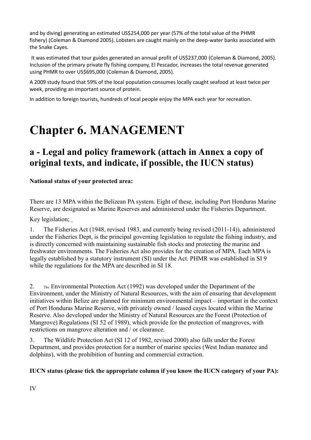and by diving) generating an estimated US\$254,000 per year (57% of the total value of the PHMR fishery) (Coleman & Diamond 2005). Lobsters are caught mainly on the deep-water banks associated with the Snake Cayes.

It was estimated that tour guides generated an annual profit of US\$237,000 (Coleman & Diamond, 2005). Inclusion of the primary private fly fishing company, El Pescador, increases the total revenue generated using PHMR to over US\$695,000 (Coleman & Diamond, 2005).

A 2009 study found that 59% of the local population consumes locally caught seafood at least twice per week, providing an important source of protein.

In addition to foreign tourists, hundreds of local people enjoy the MPA each year for recreation.

## **Chapter 6. MANAGEMENT**

### **a - Legal and policy framework (attach in Annex a copy of original texts, and indicate, if possible, the IUCN status)**

**National status of your protected area:**

There are 13 MPA within the Belizean PA system. Eight of these, including Port Honduras Marine Reserve, are designated as Marine Reserves and administered under the Fisheries Department.

Key legislation;

1. The Fisheries Act (1948, revised 1983, and currently being revised (2011-14)), administered under the Fisheries Dept, is the principal governing legislation to regulate the fishing industry, and is directly concerned with maintaining sustainable fish stocks and protecting the marine and freshwater environments. The Fisheries Act also provides for the creation of MPA. Each MPA is legally established by a statutory instrument (SI) under the Act. PHMR was established in SI 9 while the regulations for the MPA are described in SI 18.

2. The Environmental Protection Act (1992) was developed under the Department of the Environment, under the Ministry of Natural Resources, with the aim of ensuring that development initiatives within Belize are planned for minimum environmental impact – important in the context of Port Honduras Marine Reserve, with privately owned / leased cayes located within the Marine Reserve. Also developed under the Ministry of Natural Resources are the Forest (Protection of Mangrove) Regulations (SI 52 of 1989), which provide for the protection of mangroves, with restrictions on mangrove alteration and / or clearance.

3. The Wildlife Protection Act (SI 12 of 1982, revised 2000) also falls under the Forest Department, and provides protection for a number of marine species (West Indian manatee and dolphins), with the prohibition of hunting and commercial extraction.

#### **IUCN status (please tick the appropriate column if you know the IUCN category of your PA):**

IV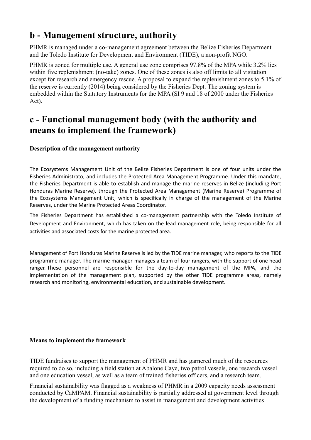### **b - Management structure, authority**

PHMR is managed under a co-management agreement between the Belize Fisheries Department and the Toledo Institute for Development and Environment (TIDE), a non-profit NGO.

PHMR is zoned for multiple use. A general use zone comprises 97.8% of the MPA while 3.2% lies within five replenishment (no-take) zones. One of these zones is also off limits to all visitation except for research and emergency rescue. A proposal to expand the replenishment zones to 5.1% of the reserve is currently (2014) being considered by the Fisheries Dept. The zoning system is embedded within the Statutory Instruments for the MPA (SI 9 and 18 of 2000 under the Fisheries Act).

### **c - Functional management body (with the authority and means to implement the framework)**

#### **Description of the management authority**

The Ecosystems Management Unit of the Belize Fisheries Department is one of four units under the Fisheries Administrato, and includes the Protected Area Management Programme. Under this mandate, the Fisheries Department is able to establish and manage the marine reserves in Belize (including Port Honduras Marine Reserve), through the Protected Area Management (Marine Reserve) Programme of the Ecosystems Management Unit, which is specifically in charge of the management of the Marine Reserves, under the Marine Protected Areas Coordinator.

The Fisheries Department has established a co-management partnership with the Toledo Institute of Development and Environment, which has taken on the lead management role, being responsible for all activities and associated costs for the marine protected area.

Management of Port Honduras Marine Reserve is led by the TIDE marine manager, who reports to the TIDE programme manager. The marine manager manages a team of four rangers, with the support of one head ranger. These personnel are responsible for the day-to-day management of the MPA, and the implementation of the management plan, supported by the other TIDE programme areas, namely research and monitoring, environmental education, and sustainable development.

#### **Means to implement the framework**

TIDE fundraises to support the management of PHMR and has garnered much of the resources required to do so, including a field station at Abalone Caye, two patrol vessels, one research vessel and one education vessel, as well as a team of trained fisheries officers, and a research team.

Financial sustainability was flagged as a weakness of PHMR in a 2009 capacity needs assessment conducted by CaMPAM. Financial sustainability is partially addressed at government level through the development of a funding mechanism to assist in management and development activities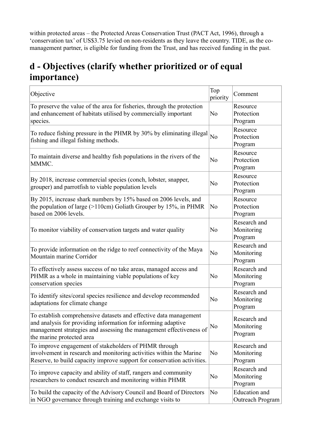within protected areas – the Protected Areas Conservation Trust (PACT Act, 1996), through a 'conservation tax' of US\$3.75 levied on non-residents as they leave the country. TIDE, as the comanagement partner, is eligible for funding from the Trust, and has received funding in the past.

### **d - Objectives (clarify whether prioritized or of equal importance)**

| Objective                                                                                                                                                                                                                              | Top<br>priority | Comment                                  |
|----------------------------------------------------------------------------------------------------------------------------------------------------------------------------------------------------------------------------------------|-----------------|------------------------------------------|
| To preserve the value of the area for fisheries, through the protection<br>and enhancement of habitats utilised by commercially important<br>species.                                                                                  | N <sub>0</sub>  | Resource<br>Protection<br>Program        |
| To reduce fishing pressure in the PHMR by 30% by eliminating illegal<br>fishing and illegal fishing methods.                                                                                                                           | N <sub>o</sub>  | Resource<br>Protection<br>Program        |
| To maintain diverse and healthy fish populations in the rivers of the<br>MMMC.                                                                                                                                                         | N <sub>o</sub>  | Resource<br>Protection<br>Program        |
| By 2018, increase commercial species (conch, lobster, snapper,<br>grouper) and parrotfish to viable population levels                                                                                                                  | N <sub>0</sub>  | Resource<br>Protection<br>Program        |
| By 2015, increase shark numbers by 15% based on 2006 levels, and<br>the population of large $(>110cm)$ Goliath Grouper by 15%, in PHMR<br>based on 2006 levels.                                                                        | N <sub>0</sub>  | Resource<br>Protection<br>Program        |
| To monitor viability of conservation targets and water quality                                                                                                                                                                         | N <sub>0</sub>  | Research and<br>Monitoring<br>Program    |
| To provide information on the ridge to reef connectivity of the Maya<br>Mountain marine Corridor                                                                                                                                       | N <sub>0</sub>  | Research and<br>Monitoring<br>Program    |
| To effectively assess success of no take areas, managed access and<br>PHMR as a whole in maintaining viable populations of key<br>conservation species                                                                                 | No              | Research and<br>Monitoring<br>Program    |
| To identify sites/coral species resilience and develop recommended<br>adaptations for climate change                                                                                                                                   | N <sub>0</sub>  | Research and<br>Monitoring<br>Program    |
| To establish comprehensive datasets and effective data management<br>and analysis for providing information for informing adaptive<br>management strategies and assessing the management effectiveness of<br>the marine protected area | No              | Research and<br>Monitoring<br>Program    |
| To improve engagement of stakeholders of PHMR through<br>involvement in research and monitoring activities within the Marine<br>Reserve, to build capacity improve support for conservation activities.                                | N <sub>0</sub>  | Research and<br>Monitoring<br>Program    |
| To improve capacity and ability of staff, rangers and community<br>researchers to conduct research and monitoring within PHMR                                                                                                          | N <sub>0</sub>  | Research and<br>Monitoring<br>Program    |
| To build the capacity of the Advisory Council and Board of Directors<br>in NGO governance through training and exchange visits to                                                                                                      | N <sub>0</sub>  | <b>Education</b> and<br>Outreach Program |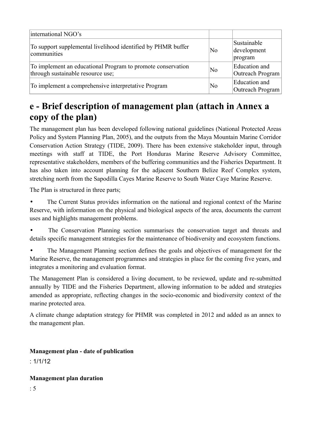| international NGO's                                                                              |                |                                       |
|--------------------------------------------------------------------------------------------------|----------------|---------------------------------------|
| To support supplemental livelihood identified by PHMR buffer<br>communities                      | N <sub>0</sub> | Sustainable<br>development<br>program |
| To implement an educational Program to promote conservation<br>through sustainable resource use; | N <sub>0</sub> | Education and<br>Outreach Program     |
| To implement a comprehensive interpretative Program                                              | N <sub>0</sub> | Education and<br>Outreach Program     |

### **e - Brief description of management plan (attach in Annex a copy of the plan)**

The management plan has been developed following national guidelines (National Protected Areas Policy and System Planning Plan, 2005), and the outputs from the Maya Mountain Marine Corridor Conservation Action Strategy (TIDE, 2009). There has been extensive stakeholder input, through meetings with staff at TIDE, the Port Honduras Marine Reserve Advisory Committee, representative stakeholders, members of the buffering communities and the Fisheries Department. It has also taken into account planning for the adjacent Southern Belize Reef Complex system, stretching north from the Sapodilla Cayes Marine Reserve to South Water Caye Marine Reserve.

The Plan is structured in three parts;

The Current Status provides information on the national and regional context of the Marine Reserve, with information on the physical and biological aspects of the area, documents the current uses and highlights management problems.

The Conservation Planning section summarises the conservation target and threats and details specific management strategies for the maintenance of biodiversity and ecosystem functions.

The Management Planning section defines the goals and objectives of management for the Marine Reserve, the management programmes and strategies in place for the coming five years, and integrates a monitoring and evaluation format.

The Management Plan is considered a living document, to be reviewed, update and re-submitted annually by TIDE and the Fisheries Department, allowing information to be added and strategies amended as appropriate, reflecting changes in the socio-economic and biodiversity context of the marine protected area.

A climate change adaptation strategy for PHMR was completed in 2012 and added as an annex to the management plan.

#### **Management plan - date of publication**

 $.1/1/12$ 

#### **Management plan duration**

: 5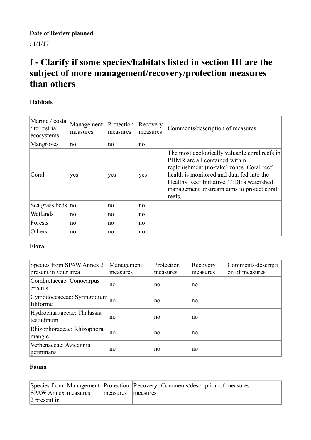## **Date of Review planned**

: 1/1/17

### **f - Clarify if some species/habitats listed in section III are the subject of more management/recovery/protection measures than others**

#### **Habitats**

| Marine / costal<br>/ terrestrial<br>ecosystems | Management<br>measures | Protection<br>measures | Recovery<br>measures | Comments/description of measures                                                                                                                                                                                                                                             |
|------------------------------------------------|------------------------|------------------------|----------------------|------------------------------------------------------------------------------------------------------------------------------------------------------------------------------------------------------------------------------------------------------------------------------|
| Mangroves                                      | no                     | no                     | no.                  |                                                                                                                                                                                                                                                                              |
| Coral                                          | yes                    | yes                    | yes                  | The most ecologically valuable coral reefs in<br>PHMR are all contained within<br>replenishment (no-take) zones. Coral reef<br>health is monitored and data fed into the<br>Healthy Reef Initiative. TIDE's watershed<br>management upstream aims to protect coral<br>reefs. |
| Sea grass beds no                              |                        | no                     | no.                  |                                                                                                                                                                                                                                                                              |
| Wetlands                                       | no                     | no                     | no.                  |                                                                                                                                                                                                                                                                              |
| Forests                                        | no                     | no                     | no.                  |                                                                                                                                                                                                                                                                              |
| Others                                         | no                     | no                     | no.                  |                                                                                                                                                                                                                                                                              |

#### **Flora**

| Species from SPAW Annex 3<br>present in your area | Management<br>measures | Protection<br>measures | Recovery<br>measures | Comments/descripti<br>on of measures |
|---------------------------------------------------|------------------------|------------------------|----------------------|--------------------------------------|
| Combretaceae: Conocarpus<br>erectus               | no                     | no                     | no                   |                                      |
| Cymodoceaceae: Syringodium<br>filiforme           | no                     | no                     | no                   |                                      |
| Hydrocharitaceae: Thalassia<br>testudinum         | no                     | no                     | no                   |                                      |
| Rhizophoraceae: Rhizophora<br>mangle              | no                     | no                     | no                   |                                      |
| Verbenaceae: Avicennia<br>germinans               | no                     | no                     | no                   |                                      |

#### **Fauna**

|                            |          |          | Species from Management Protection Recovery Comments/description of measures |
|----------------------------|----------|----------|------------------------------------------------------------------------------|
| <b>SPAW Annex measures</b> | measures | measures |                                                                              |
| $ 2$ present in            |          |          |                                                                              |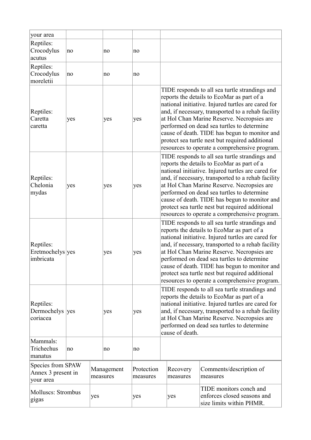| your area<br>Reptiles:<br>Crocodylus<br>acutus       | no  |     | no                     | no                     |                                                                                                                                                                                                                                                                                                                                                                                                                                                           |                      |                                                                                    |
|------------------------------------------------------|-----|-----|------------------------|------------------------|-----------------------------------------------------------------------------------------------------------------------------------------------------------------------------------------------------------------------------------------------------------------------------------------------------------------------------------------------------------------------------------------------------------------------------------------------------------|----------------------|------------------------------------------------------------------------------------|
| Reptiles:<br>Crocodylus<br>moreletii                 | no  |     | no                     | no                     |                                                                                                                                                                                                                                                                                                                                                                                                                                                           |                      |                                                                                    |
| Reptiles:<br>Caretta<br>caretta                      | yes |     | yes                    | yes                    | TIDE responds to all sea turtle strandings and<br>reports the details to EcoMar as part of a<br>national initiative. Injured turtles are cared for<br>and, if necessary, transported to a rehab facility<br>at Hol Chan Marine Reserve. Necropsies are<br>performed on dead sea turtles to determine<br>cause of death. TIDE has begun to monitor and<br>protect sea turtle nest but required additional<br>resources to operate a comprehensive program. |                      |                                                                                    |
| Reptiles:<br>Chelonia<br>mydas                       | yes |     | yes                    | yes                    | TIDE responds to all sea turtle strandings and<br>reports the details to EcoMar as part of a<br>national initiative. Injured turtles are cared for<br>and, if necessary, transported to a rehab facility<br>at Hol Chan Marine Reserve. Necropsies are<br>performed on dead sea turtles to determine<br>cause of death. TIDE has begun to monitor and<br>protect sea turtle nest but required additional<br>resources to operate a comprehensive program. |                      |                                                                                    |
| Reptiles:<br>Eretmochelys yes<br>imbricata           |     |     | yes                    | yes                    | TIDE responds to all sea turtle strandings and<br>reports the details to EcoMar as part of a<br>national initiative. Injured turtles are cared for<br>and, if necessary, transported to a rehab facility<br>at Hol Chan Marine Reserve. Necropsies are<br>performed on dead sea turtles to determine<br>cause of death. TIDE has begun to monitor and<br>protect sea turtle nest but required additional<br>resources to operate a comprehensive program. |                      |                                                                                    |
| Reptiles:<br>Dermochelys yes<br>coriacea             |     |     | yes                    | yes                    | TIDE responds to all sea turtle strandings and<br>reports the details to EcoMar as part of a<br>national initiative. Injured turtles are cared for<br>and, if necessary, transported to a rehab facility<br>at Hol Chan Marine Reserve. Necropsies are<br>performed on dead sea turtles to determine<br>cause of death.                                                                                                                                   |                      |                                                                                    |
| Mammals:<br>Trichechus<br>manatus                    | no  |     | no                     | no                     |                                                                                                                                                                                                                                                                                                                                                                                                                                                           |                      |                                                                                    |
| Species from SPAW<br>Annex 3 present in<br>your area |     |     | Management<br>measures | Protection<br>measures |                                                                                                                                                                                                                                                                                                                                                                                                                                                           | Recovery<br>measures | Comments/description of<br>measures                                                |
| Molluscs: Strombus<br>gigas                          |     | yes |                        | yes                    |                                                                                                                                                                                                                                                                                                                                                                                                                                                           | yes                  | TIDE monitors conch and<br>enforces closed seasons and<br>size limits within PHMR. |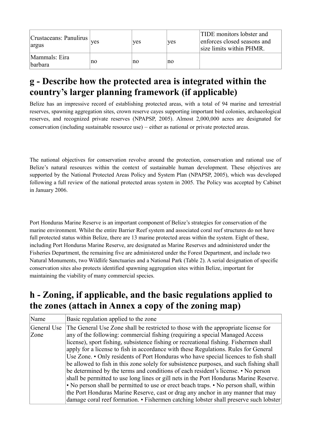| Crustaceans: Panulirus<br>argus | ves | ves | ves | <b>TIDE</b> monitors lobster and<br>enforces closed seasons and<br>size limits within PHMR. |
|---------------------------------|-----|-----|-----|---------------------------------------------------------------------------------------------|
| Mammals: Eira<br><i>barbara</i> | no  | no  | no  |                                                                                             |

### **g - Describe how the protected area is integrated within the country's larger planning framework (if applicable)**

Belize has an impressive record of establishing protected areas, with a total of 94 marine and terrestrial reserves, spawning aggregation sites, crown reserve cayes supporting important bird colonies, archaeological reserves, and recognized private reserves (NPAPSP, 2005). Almost 2,000,000 acres are designated for conservation (including sustainable resource use) – either as national or private protected areas.

The national objectives for conservation revolve around the protection, conservation and rational use of Belize's natural resources within the context of sustainable human development. These objectives are supported by the National Protected Areas Policy and System Plan (NPAPSP, 2005), which was developed following a full review of the national protected areas system in 2005. The Policy was accepted by Cabinet in January 2006.

Port Honduras Marine Reserve is an important component of Belize's strategies for conservation of the marine environment. Whilst the entire Barrier Reef system and associated coral reef structures do not have full protected status within Belize, there are 13 marine protected areas within the system. Eight of these, including Port Honduras Marine Reserve, are designated as Marine Reserves and administered under the Fisheries Department, the remaining five are administered under the Forest Department, and include two Natural Monuments, two Wildlife Sanctuaries and a National Park (Table 2). A serial designation of specific conservation sites also protects identified spawning aggregation sites within Belize, important for maintaining the viability of many commercial species.

### **h - Zoning, if applicable, and the basic regulations applied to the zones (attach in Annex a copy of the zoning map)**

| Name        | Basic regulation applied to the zone                                                    |
|-------------|-----------------------------------------------------------------------------------------|
| General Use | The General Use Zone shall be restricted to those with the appropriate license for      |
| Zone        | any of the following: commercial fishing (requiring a special Managed Access            |
|             | license), sport fishing, subsistence fishing or recreational fishing. Fishermen shall   |
|             | apply for a license to fish in accordance with these Regulations. Rules for General     |
|             | Use Zone. • Only residents of Port Honduras who have special licences to fish shall     |
|             | be allowed to fish in this zone solely for subsistence purposes, and such fishing shall |
|             | be determined by the terms and conditions of each resident's license. • No person       |
|             | shall be permitted to use long lines or gill nets in the Port Honduras Marine Reserve.  |
|             | • No person shall be permitted to use or erect beach traps. • No person shall, within   |
|             | the Port Honduras Marine Reserve, cast or drag any anchor in any manner that may        |
|             | damage coral reef formation. • Fishermen catching lobster shall preserve such lobster   |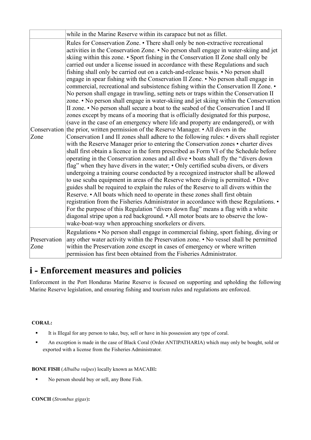|                      | while in the Marine Reserve within its carapace but not as fillet.                                                                                                                                                                                                                                                                                                                                                                                                                                                                                                                                                                                                                                                                                                                                                                                                                                                                                                                                                                                                                                                                                                                                                                                                                                                                                                                                                                                                                                                                                                                                                                                                                                                                                                                                                                                                                                                                                                                                                                                                                                                                                                                                                                                                                                  |
|----------------------|-----------------------------------------------------------------------------------------------------------------------------------------------------------------------------------------------------------------------------------------------------------------------------------------------------------------------------------------------------------------------------------------------------------------------------------------------------------------------------------------------------------------------------------------------------------------------------------------------------------------------------------------------------------------------------------------------------------------------------------------------------------------------------------------------------------------------------------------------------------------------------------------------------------------------------------------------------------------------------------------------------------------------------------------------------------------------------------------------------------------------------------------------------------------------------------------------------------------------------------------------------------------------------------------------------------------------------------------------------------------------------------------------------------------------------------------------------------------------------------------------------------------------------------------------------------------------------------------------------------------------------------------------------------------------------------------------------------------------------------------------------------------------------------------------------------------------------------------------------------------------------------------------------------------------------------------------------------------------------------------------------------------------------------------------------------------------------------------------------------------------------------------------------------------------------------------------------------------------------------------------------------------------------------------------------|
| Zone                 | Rules for Conservation Zone. • There shall only be non-extractive recreational<br>activities in the Conservation Zone. • No person shall engage in water-skiing and jet<br>skiing within this zone. • Sport fishing in the Conservation II Zone shall only be<br>carried out under a license issued in accordance with these Regulations and such<br>fishing shall only be carried out on a catch-and-release basis. • No person shall<br>engage in spear fishing with the Conservation II Zone. • No person shall engage in<br>commercial, recreational and subsistence fishing within the Conservation II Zone. •<br>No person shall engage in trawling, setting nets or traps within the Conservation II<br>zone. • No person shall engage in water-skiing and jet skiing within the Conservation<br>II zone. • No person shall secure a boat to the seabed of the Conservation I and II<br>zones except by means of a mooring that is officially designated for this purpose,<br>(save in the case of an emergency where life and property are endangered), or with<br>Conservation the prior, written permission of the Reserve Manager. • All divers in the<br>Conservation I and II zones shall adhere to the following rules: • divers shall register<br>with the Reserve Manager prior to entering the Conservation zones • charter dives<br>shall first obtain a licence in the form prescribed as Form VI of the Schedule before<br>operating in the Conservation zones and all dive • boats shall fly the "divers down<br>flag" when they have divers in the water; • Only certified scuba divers, or divers<br>undergoing a training course conducted by a recognized instructor shall be allowed<br>to use scuba equipment in areas of the Reserve where diving is permitted. • Dive<br>guides shall be required to explain the rules of the Reserve to all divers within the<br>Reserve. • All boats which need to operate in these zones shall first obtain<br>registration from the Fisheries Administrator in accordance with these Regulations. •<br>For the purpose of this Regulation "divers down flag" means a flag with a white<br>diagonal stripe upon a red background. • All motor boats are to observe the low-<br>wake-boat-way when approaching snorkelers or divers. |
| Preservation<br>Zone | Regulations . No person shall engage in commercial fishing, sport fishing, diving or<br>any other water activity within the Preservation zone. • No vessel shall be permitted<br>within the Preservation zone except in cases of emergency or where written<br>permission has first been obtained from the Fisheries Administrator.                                                                                                                                                                                                                                                                                                                                                                                                                                                                                                                                                                                                                                                                                                                                                                                                                                                                                                                                                                                                                                                                                                                                                                                                                                                                                                                                                                                                                                                                                                                                                                                                                                                                                                                                                                                                                                                                                                                                                                 |

### **i - Enforcement measures and policies**

Enforcement in the Port Honduras Marine Reserve is focused on supporting and upholding the following Marine Reserve legislation, and ensuring fishing and tourism rules and regulations are enforced.

#### **CORAL:**

- § It is Illegal for any person to take, buy, sell or have in his possession any type of coral.
- § An exception is made in the case of Black Coral (Order ANTIPATHARIA) which may only be bought, sold or exported with a license from the Fisheries Administrator.

#### **BONE FISH** (*Albulba vulpes*) locally known as MACABI**:**

■ No person should buy or sell, any Bone Fish.

**CONCH** (*Strombus gigas*)**:**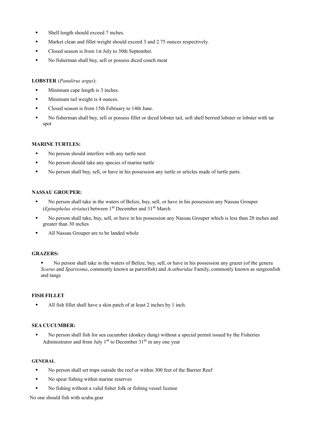- Shell length should exceed 7 inches.
- § Market clean and fillet weight should exceed 3 and 2.75 ounces respectively.
- Closed season is from 1st July to 30th September.
- § No fisherman shall buy, sell or possess diced conch meat

#### **LOBSTER** (*Panulirus argus*):

- § Minimum cape length is 3 inches.
- § Minimum tail weight is 4 ounces.
- § Closed season is from 15th February to 14th June.
- No fisherman shall buy, sell or possess fillet or diced lobster tail, soft shell berried lobster or lobster with tar spot

#### **MARINE TURTLES:**

- No person should interfere with any turtle nest
- No person should take any species of marine turtle
- § No person shall buy, sell, or have in his possession any turtle or articles made of turtle parts.

#### **NASSAU GROUPER:**

- § No person shall take in the waters of Belize, buy, sell, or have in his possession any Nassau Grouper (*Epinephelus striatus*) between 1st December and 31st March
- § No person shall take, buy, sell, or have in his possession any Nassau Grouper which is less than 20 inches and greater than 30 inches
- All Nassau Grouper are to be landed whole

#### **GRAZERS:**

§ No person shall take in the waters of Belize, buy, sell, or have in his possession any grazer (of the genera *Scarus* and *Sparisoma*, commonly known as parrotfish) and *Acathuridae* Family, commonly known as surgeonfish and tangs

#### **FISH FILLET**

All fish fillet shall have a skin patch of at least 2 inches by 1 inch.

#### **SEA CUCUMBER:**

§ No person shall fish for sea cucumber (donkey dung) without a special permit issued by the Fisheries Administrator and from July  $1<sup>st</sup>$  to December  $31<sup>st</sup>$  in any one year

#### **GENERAL**

- § No person shall set traps outside the reef or within 300 feet of the Barrier Reef
- No spear fishing within marine reserves
- § No fishing without a valid fisher folk or fishing vessel license

No one should fish with scuba gear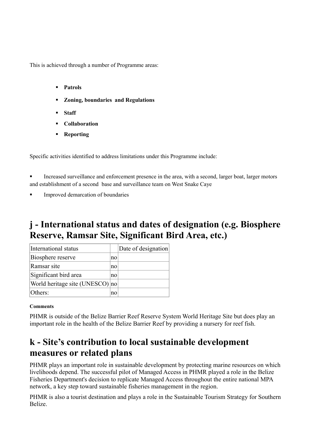This is achieved through a number of Programme areas:

- § **Patrols**
- § **Zoning, boundaries and Regulations**
- § **Staff**
- § **Collaboration**
- § **Reporting**

Specific activities identified to address limitations under this Programme include:

**•** Increased surveillance and enforcement presence in the area, with a second, larger boat, larger motors and establishment of a second base and surveillance team on West Snake Caye

Improved demarcation of boundaries

### **j - International status and dates of designation (e.g. Biosphere Reserve, Ramsar Site, Significant Bird Area, etc.)**

| International status            |    | Date of designation |
|---------------------------------|----|---------------------|
| Biosphere reserve               | no |                     |
| Ramsar site                     | no |                     |
| Significant bird area           | no |                     |
| World heritage site (UNESCO) no |    |                     |
| Others:                         | no |                     |

#### **Comments**

PHMR is outside of the Belize Barrier Reef Reserve System World Heritage Site but does play an important role in the health of the Belize Barrier Reef by providing a nursery for reef fish.

### **k - Site's contribution to local sustainable development measures or related plans**

PHMR plays an important role in sustainable development by protecting marine resources on which livelihoods depend. The successful pilot of Managed Access in PHMR played a role in the Belize Fisheries Department's decision to replicate Managed Access throughout the entire national MPA network, a key step toward sustainable fisheries management in the region.

PHMR is also a tourist destination and plays a role in the Sustainable Tourism Strategy for Southern Belize.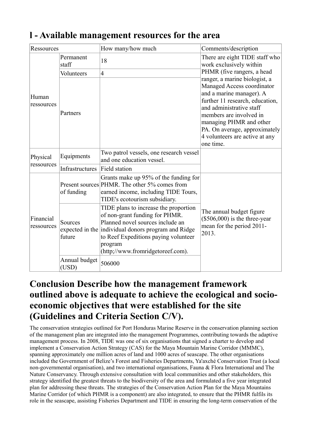| 1 - Available management resources for the area |  |  |  |  |
|-------------------------------------------------|--|--|--|--|
|-------------------------------------------------|--|--|--|--|

| Ressources              |                        | How many/how much                                                                                                                                                                                                                                          | Comments/description                                                                                                                                                                                                                                                                         |  |
|-------------------------|------------------------|------------------------------------------------------------------------------------------------------------------------------------------------------------------------------------------------------------------------------------------------------------|----------------------------------------------------------------------------------------------------------------------------------------------------------------------------------------------------------------------------------------------------------------------------------------------|--|
|                         | Permanent<br>staff     | 18                                                                                                                                                                                                                                                         | There are eight TIDE staff who<br>work exclusively within                                                                                                                                                                                                                                    |  |
|                         | Volunteers             | $\overline{4}$                                                                                                                                                                                                                                             | PHMR (five rangers, a head                                                                                                                                                                                                                                                                   |  |
| Human<br>ressources     | Partners               |                                                                                                                                                                                                                                                            | ranger, a marine biologist, a<br>Managed Access coordinator<br>and a marine manager). A<br>further 11 research, education,<br>and administrative staff<br>members are involved in<br>managing PHMR and other<br>PA. On average, approximately<br>4 volunteers are active at any<br>one time. |  |
| Physical<br>ressources  | Equipments             | Two patrol vessels, one research vessel<br>and one education vessel.                                                                                                                                                                                       |                                                                                                                                                                                                                                                                                              |  |
|                         | Infrastructures        | <b>Field station</b>                                                                                                                                                                                                                                       |                                                                                                                                                                                                                                                                                              |  |
|                         | of funding             | Grants make up 95% of the funding for<br>Present sources PHMR. The other 5% comes from<br>earned income, including TIDE Tours,<br>TIDE's ecotourism subsidiary.                                                                                            |                                                                                                                                                                                                                                                                                              |  |
| Financial<br>ressources | Sources<br>future      | TIDE plans to increase the proportion<br>of non-grant funding for PHMR.<br>Planned novel sources include an<br>expected in the individual donors program and Ridge<br>to Reef Expeditions paying volunteer<br>program<br>(http://www.fromridgetoreef.com). | The annual budget figure<br>$(\$506,000)$ is the three-year<br>mean for the period 2011-<br>2013.                                                                                                                                                                                            |  |
|                         | Annual budget<br>(USD) | 506000                                                                                                                                                                                                                                                     |                                                                                                                                                                                                                                                                                              |  |

### **Conclusion Describe how the management framework outlined above is adequate to achieve the ecological and socioeconomic objectives that were established for the site (Guidelines and Criteria Section C/V).**

The conservation strategies outlined for Port Honduras Marine Reserve in the conservation planning section of the management plan are integrated into the management Programmes, contributing towards the adaptive management process. In 2008, TIDE was one of six organisations that signed a charter to develop and implement a Conservation Action Strategy (CAS) for the Maya Mountain Marine Corridor (MMMC), spanning approximately one million acres of land and 1000 acres of seascape. The other organisations included the Government of Belize's Forest and Fisheries Departments, Ya'axché Conservation Trust (a local non-governmental organisation), and two international organisations, Fauna & Flora International and The Nature Conservancy. Through extensive consultation with local communities and other stakeholders, this strategy identified the greatest threats to the biodiversity of the area and formulated a five year integrated plan for addressing these threats. The strategies of the Conservation Action Plan for the Maya Mountains Marine Corridor (of which PHMR is a component) are also integrated, to ensure that the PHMR fulfils its role in the seascape, assisting Fisheries Department and TIDE in ensuring the long-term conservation of the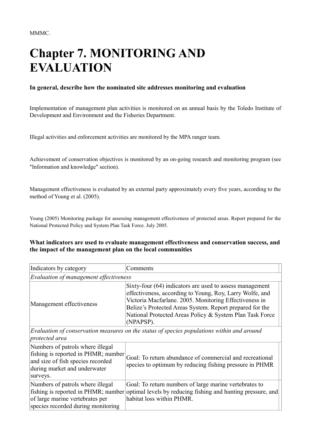# **Chapter 7. MONITORING AND EVALUATION**

#### **In general, describe how the nominated site addresses monitoring and evaluation**

Implementation of management plan activities is monitored on an annual basis by the Toledo Institute of Development and Environment and the Fisheries Department.

Illegal activities and enforcement activities are monitored by the MPA ranger team.

Achievement of conservation objectives is monitored by an on-going research and monitoring program (see "Information and knowledge" section).

Management effectiveness is evaluated by an external party approximately every five years, according to the method of Young et al. (2005).

Young (2005) Monitoring package for assessing management effectiveness of protected areas. Report prepared for the National Protected Policy and System Plan Task Force. July 2005.

#### **What indicators are used to evaluate management effectiveness and conservation success, and the impact of the management plan on the local communities**

| Indicators by category                 | Comments                                                                                                                                                                                                                                                                                                            |
|----------------------------------------|---------------------------------------------------------------------------------------------------------------------------------------------------------------------------------------------------------------------------------------------------------------------------------------------------------------------|
| Evaluation of management effectiveness |                                                                                                                                                                                                                                                                                                                     |
| Management effectiveness               | Sixty-four (64) indicators are used to assess management<br>effectiveness, according to Young, Roy, Larry Wolfe, and<br>Victoria Macfarlane. 2005. Monitoring Effectiveness in<br>Belize's Protected Areas System. Report prepared for the<br>National Protected Areas Policy & System Plan Task Force<br>(NPAPSP). |

*Evaluation of conservation measures on the status of species populations within and around protected area*

| Numbers of patrols where illegal<br>fishing is reported in PHMR; number<br>and size of fish species recorded<br>during market and underwater<br>surveys. | Goal: To return abundance of commercial and recreational<br>species to optimum by reducing fishing pressure in PHMR |
|----------------------------------------------------------------------------------------------------------------------------------------------------------|---------------------------------------------------------------------------------------------------------------------|
| Numbers of patrols where illegal                                                                                                                         | Goal: To return numbers of large marine vertebrates to                                                              |
| of large marine vertebrates per                                                                                                                          | fishing is reported in PHMR; number optimal levels by reducing fishing and hunting pressure, and                    |
| species recorded during monitoring                                                                                                                       | habitat loss within PHMR.                                                                                           |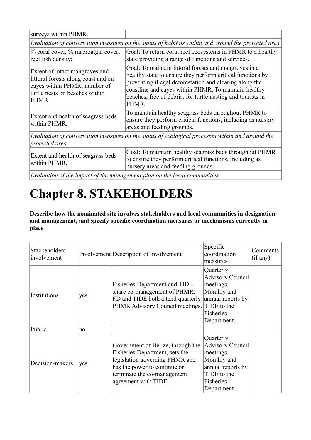| surveys within PHMR.                                                                                                                             |                                                                                                                                                                                                                                                                                                                |  |  |  |
|--------------------------------------------------------------------------------------------------------------------------------------------------|----------------------------------------------------------------------------------------------------------------------------------------------------------------------------------------------------------------------------------------------------------------------------------------------------------------|--|--|--|
| Evaluation of conservation measures on the status of habitats within and around the protected area                                               |                                                                                                                                                                                                                                                                                                                |  |  |  |
| % coral cover, % macroalgal cover;<br>reef fish density;                                                                                         | Goal: To return coral reef ecosystems in PHMR to a healthy<br>state providing a range of functions and services.                                                                                                                                                                                               |  |  |  |
| Extent of intact mangroves and<br>littoral forests along coast and on<br>cayes within PHMR; number of<br>turtle nests on beaches within<br>PHMR. | Goal: To maintain littoral forests and mangroves in a<br>healthy state to ensure they perform critical functions by<br>preventing illegal deforestation and clearing along the<br>coastline and cayes within PHMR. To maintain healthy<br>beaches, free of debris, for turtle nesting and tourists in<br>PHMR. |  |  |  |
| Extent and health of seagrass beds<br>within PHMR.                                                                                               | To maintain healthy seagrass beds throughout PHMR to<br>ensure they perform critical functions, including as nursery<br>areas and feeding grounds.                                                                                                                                                             |  |  |  |
| Evaluation of conservation measures on the status of ecological processes within and around the<br>protected area                                |                                                                                                                                                                                                                                                                                                                |  |  |  |
| Extent and health of seagrass beds<br>within PHMR.                                                                                               | Goal: To maintain healthy seagrass beds throughout PHMR<br>to ensure they perform critical functions, including as<br>nursery areas and feeding grounds.                                                                                                                                                       |  |  |  |

*Evaluation of the impact of the management plan on the local communities*

# **Chapter 8. STAKEHOLDERS**

**Describe how the nominated site involves stakeholders and local communities in designation and management, and specify specific coordination measures or mechanisms currently in place** 

| <b>Stackeholders</b><br>involvement |     | Involvement Description of involvement                                                                                                                                                       | Specific<br>coordination<br>measures                                                                                             | Comments<br>(if any) |
|-------------------------------------|-----|----------------------------------------------------------------------------------------------------------------------------------------------------------------------------------------------|----------------------------------------------------------------------------------------------------------------------------------|----------------------|
| Institutions                        | yes | <b>Fisheries Department and TIDE</b><br>share co-management of PHMR.<br>FD and TIDE both attend quarterly<br>PHMR Advisory Council meetings.                                                 | Quarterly<br><b>Advisory Council</b><br>meetings.<br>Monthly and<br>annual reports by<br>TIDE to the<br>Fisheries<br>Department. |                      |
| Public                              | no  |                                                                                                                                                                                              |                                                                                                                                  |                      |
| Decision-makers                     | yes | Government of Belize, through the<br>Fisheries Department, sets the<br>legislation governing PHMR and<br>has the power to continue or<br>terminate the co-management<br>agreement with TIDE. | Quarterly<br><b>Advisory Council</b><br>meetings.<br>Monthly and<br>annual reports by<br>TIDE to the<br>Fisheries<br>Department. |                      |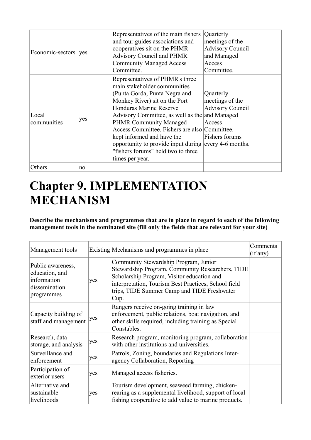| Economic-sectors     | ves | Representatives of the main fishers<br>and tour guides associations and<br>cooperatives sit on the PHMR<br><b>Advisory Council and PHMR</b><br><b>Community Managed Access</b><br>Committee.                                                                                                                                                                                                                                                            | Quarterly<br>meetings of the<br><b>Advisory Council</b><br>and Managed<br>Access<br>Committee. |  |
|----------------------|-----|---------------------------------------------------------------------------------------------------------------------------------------------------------------------------------------------------------------------------------------------------------------------------------------------------------------------------------------------------------------------------------------------------------------------------------------------------------|------------------------------------------------------------------------------------------------|--|
| Local<br>communities | yes | Representatives of PHMR's three<br>main stakeholder communities<br>(Punta Gorda, Punta Negra and<br>Monkey River) sit on the Port<br><b>Honduras Marine Reserve</b><br>Advisory Committee, as well as the and Managed<br><b>PHMR Community Managed</b><br>Access Committee. Fishers are also Committee.<br>kept informed and have the<br>opportunity to provide input during every 4-6 months.<br>"fishers forums" held two to three<br>times per year. | Quarterly<br>meetings of the<br><b>Advisory Council</b><br>Access<br>Fishers forums            |  |
| Others               | no  |                                                                                                                                                                                                                                                                                                                                                                                                                                                         |                                                                                                |  |

## **Chapter 9. IMPLEMENTATION MECHANISM**

**Describe the mechanisms and programmes that are in place in regard to each of the following management tools in the nominated site (fill only the fields that are relevant for your site)** 

| Management tools                                                                  |     | Existing Mechanisms and programmes in place                                                                                                                                                                                                            | Comments<br>(if any) |
|-----------------------------------------------------------------------------------|-----|--------------------------------------------------------------------------------------------------------------------------------------------------------------------------------------------------------------------------------------------------------|----------------------|
| Public awareness,<br>education, and<br>information<br>dissemination<br>programmes | yes | Community Stewardship Program, Junior<br>Stewardship Program, Community Researchers, TIDE<br>Scholarship Program, Visitor education and<br>interpretation, Tourism Best Practices, School field<br>trips, TIDE Summer Camp and TIDE Freshwater<br>Cup. |                      |
| Capacity building of<br>staff and management                                      | ves | Rangers receive on-going training in law<br>enforcement, public relations, boat navigation, and<br>other skills required, including training as Special<br>Constables.                                                                                 |                      |
| Research, data<br>storage, and analysis                                           | yes | Research program, monitoring program, collaboration<br>with other institutions and universities.                                                                                                                                                       |                      |
| Surveillance and<br>enforcement                                                   | yes | Patrols, Zoning, boundaries and Regulations Inter-<br>agency Collaboration, Reporting                                                                                                                                                                  |                      |
| Participation of<br>exterior users                                                | yes | Managed access fisheries.                                                                                                                                                                                                                              |                      |
| Alternative and<br>sustainable<br>livelihoods                                     | yes | Tourism development, seaweed farming, chicken-<br>rearing as a supplemental livelihood, support of local<br>fishing cooperative to add value to marine products.                                                                                       |                      |